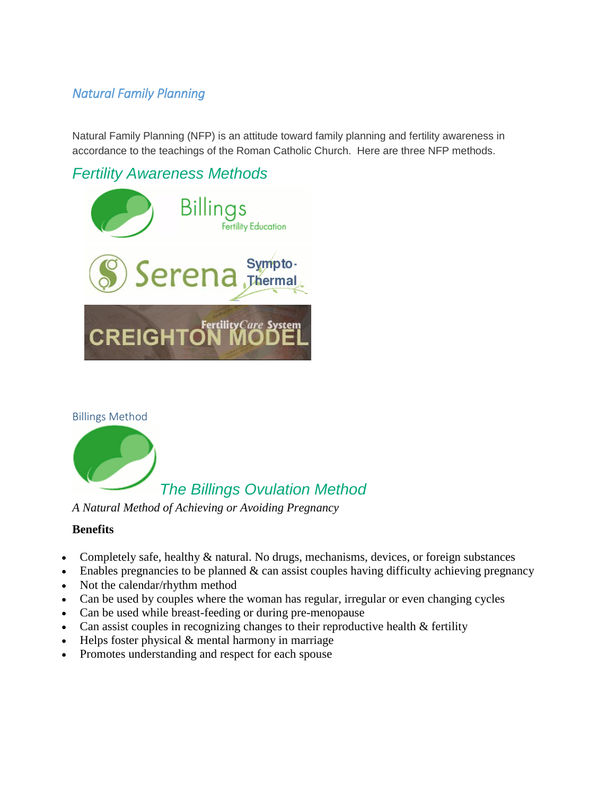# *Natural Family Planning*

Natural Family Planning (NFP) is an attitude toward family planning and fertility awareness in accordance to the teachings of the Roman Catholic Church. Here are three NFP methods.

# *Fertility Awareness Methods*







*A Natural Method of Achieving or Avoiding Pregnancy*

## **Benefits**

- Completely safe, healthy & natural. No drugs, mechanisms, devices, or foreign substances
- $\bullet$  Enables pregnancies to be planned & can assist couples having difficulty achieving pregnancy
- Not the calendar/rhythm method
- Can be used by couples where the woman has regular, irregular or even changing cycles
- Can be used while breast-feeding or during pre-menopause
- Can assist couples in recognizing changes to their reproductive health & fertility
- $\bullet$  Helps foster physical  $\&$  mental harmony in marriage
- Promotes understanding and respect for each spouse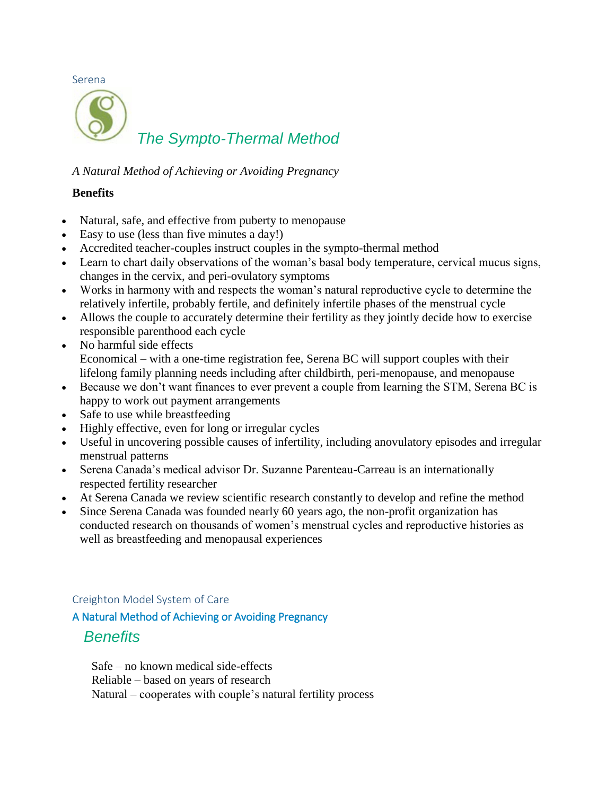Serena *The Sympto-Thermal Method*

*A Natural Method of Achieving or Avoiding Pregnancy*

### **Benefits**

- Natural, safe, and effective from puberty to menopause
- Easy to use (less than five minutes a day!)
- Accredited teacher-couples instruct couples in the sympto-thermal method
- Learn to chart daily observations of the woman's basal body temperature, cervical mucus signs, changes in the cervix, and peri-ovulatory symptoms
- Works in harmony with and respects the woman's natural reproductive cycle to determine the relatively infertile, probably fertile, and definitely infertile phases of the menstrual cycle
- Allows the couple to accurately determine their fertility as they jointly decide how to exercise responsible parenthood each cycle
- No harmful side effects Economical – with a one-time registration fee, Serena BC will support couples with their lifelong family planning needs including after childbirth, peri-menopause, and menopause
- Because we don't want finances to ever prevent a couple from learning the STM, Serena BC is happy to work out payment arrangements
- Safe to use while breastfeeding
- Highly effective, even for long or irregular cycles
- Useful in uncovering possible causes of infertility, including anovulatory episodes and irregular menstrual patterns
- Serena Canada's medical advisor Dr. Suzanne Parenteau-Carreau is an internationally respected fertility researcher
- At Serena Canada we review scientific research constantly to develop and refine the method
- Since Serena Canada was founded nearly 60 years ago, the non-profit organization has conducted research on thousands of women's menstrual cycles and reproductive histories as well as breastfeeding and menopausal experiences

### Creighton Model System of Care

A Natural Method of Achieving or Avoiding Pregnancy

# *Benefits*

 Safe – no known medical side-effects Reliable – based on years of research Natural – cooperates with couple's natural fertility process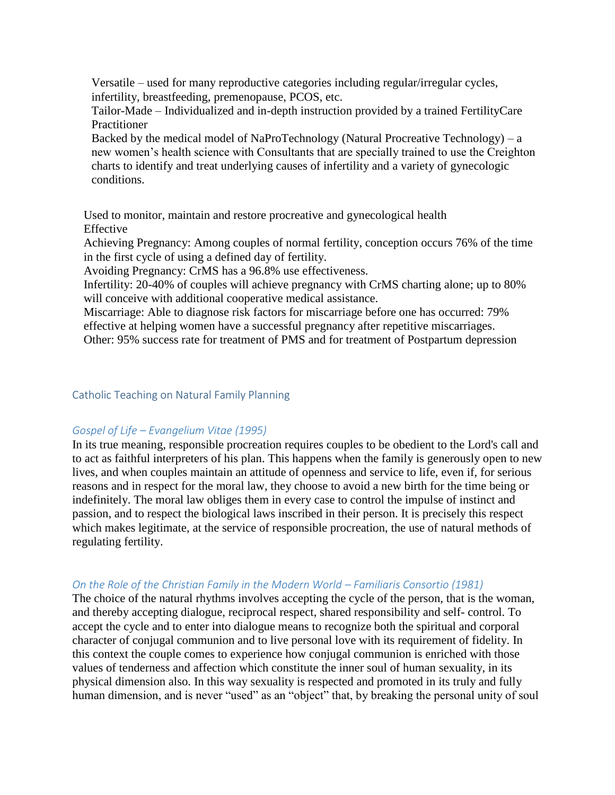Versatile – used for many reproductive categories including regular/irregular cycles, infertility, breastfeeding, premenopause, PCOS, etc.

 Tailor-Made – Individualized and in-depth instruction provided by a trained FertilityCare Practitioner

Backed by the medical model of NaProTechnology (Natural Procreative Technology) – a new women's health science with Consultants that are specially trained to use the Creighton charts to identify and treat underlying causes of infertility and a variety of gynecologic conditions.

 Used to monitor, maintain and restore procreative and gynecological health Effective

 Achieving Pregnancy: Among couples of normal fertility, conception occurs 76% of the time in the first cycle of using a defined day of fertility.

Avoiding Pregnancy: CrMS has a 96.8% use effectiveness.

 Infertility: 20-40% of couples will achieve pregnancy with CrMS charting alone; up to 80% will conceive with additional cooperative medical assistance.

 Miscarriage: Able to diagnose risk factors for miscarriage before one has occurred: 79% effective at helping women have a successful pregnancy after repetitive miscarriages.

Other: 95% success rate for treatment of PMS and for treatment of Postpartum depression

#### Catholic Teaching on Natural Family Planning

### *Gospel of Life – Evangelium Vitae (1995)*

In its true meaning, responsible procreation requires couples to be obedient to the Lord's call and to act as faithful interpreters of his plan. This happens when the family is generously open to new lives, and when couples maintain an attitude of openness and service to life, even if, for serious reasons and in respect for the moral law, they choose to avoid a new birth for the time being or indefinitely. The moral law obliges them in every case to control the impulse of instinct and passion, and to respect the biological laws inscribed in their person. It is precisely this respect which makes legitimate, at the service of responsible procreation, the use of natural methods of regulating fertility.

### *On the Role of the Christian Family in the Modern World – Familiaris Consortio (1981)*

The choice of the natural rhythms involves accepting the cycle of the person, that is the woman, and thereby accepting dialogue, reciprocal respect, shared responsibility and self- control. To accept the cycle and to enter into dialogue means to recognize both the spiritual and corporal character of conjugal communion and to live personal love with its requirement of fidelity. In this context the couple comes to experience how conjugal communion is enriched with those values of tenderness and affection which constitute the inner soul of human sexuality, in its physical dimension also. In this way sexuality is respected and promoted in its truly and fully human dimension, and is never "used" as an "object" that, by breaking the personal unity of soul